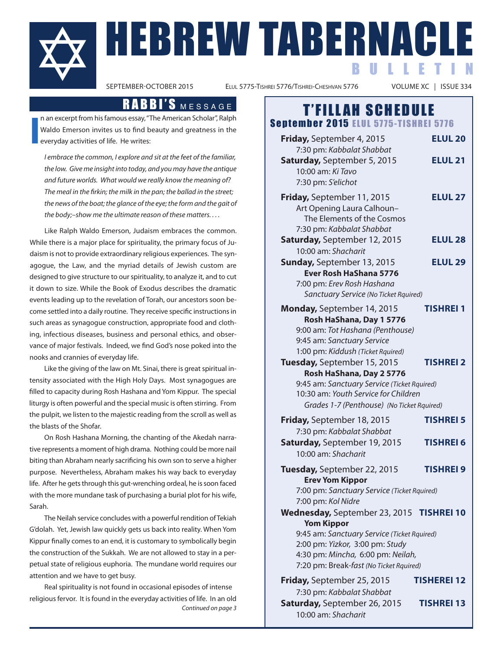# SEPTEMBER-OCTOBER 2015<br>SEPTEMBER-OCTOBER 2015<br>ELUL 5775-TISHREI 5776/TISHREI-CHESHVAN 5776<br>NOLUME XC | ISSUE 334 BULLETIN

ELUL 5775-TISHREI 5776/TISHREI-CHESHVAN 5776

**i** n an excerpt from his famous essay, "The American Scholar", Ralph Waldo Emerson invites us to find beauty and greatness in the everyday activities of life. he writes:

I embrace the common, I explore and sit at the feet of the familiar, the low. Give me insight into today, and you may have the antique and future worlds. What would we really know the meaning of? The meal in the firkin; the milk in the pan; the ballad in the street; the news of the boat; the glance of the eye; the form and the gait of the body;–show me the ultimate reason of these matters. . . .

Like Ralph Waldo Emerson, Judaism embraces the common. While there is a major place for spirituality, the primary focus of Judaism is not to provide extraordinary religious experiences. The synagogue, the Law, and the myriad details of Jewish custom are designed to give structure to our spirituality, to analyze it, and to cut it down to size. While the Book of Exodus describes the dramatic events leading up to the revelation of Torah, our ancestors soon become settled into a daily routine. They receive specific instructions in such areas as synagogue construction, appropriate food and clothing, infectious diseases, business and personal ethics, and observance of major festivals. indeed, we find God's nose poked into the nooks and crannies of everyday life.

Like the giving of the law on Mt. Sinai, there is great spiritual intensity associated with the high holy Days. most synagogues are filled to capacity during Rosh Hashana and Yom Kippur. The special liturgy is often powerful and the special music is often stirring. From the pulpit, we listen to the majestic reading from the scroll as well as the blasts of the Shofar.

On Rosh Hashana Morning, the chanting of the Akedah narrative represents a moment of high drama. Nothing could be more nail biting than Abraham nearly sacrificing his own son to serve a higher purpose. Nevertheless, Abraham makes his way back to everyday life. After he gets through this gut-wrenching ordeal, he is soon faced with the more mundane task of purchasing a burial plot for his wife, Sarah.

The Neilah service concludes with a powerful rendition of Tekiah G'dolah. Yet, Jewish law quickly gets us back into reality. When Yom Kippur finally comes to an end, it is customary to symbolically begin the construction of the Sukkah. We are not allowed to stay in a perpetual state of religious euphoria. The mundane world requires our attention and we have to get busy.

Real spirituality is not found in occasional episodes of intense religious fervor. it is found in the everyday activities of life. in an old Continued on page 3

## RABBI'S MESSAGE | T'FILLAH SCHEDULE

Sentember 2015 ELUL 5775-TISHREI 5776

| Friday, September 4, 2015<br>7:30 pm: Kabbalat Shabbat                                                                                                                                                                          | <b>ELUL 20</b>                       |
|---------------------------------------------------------------------------------------------------------------------------------------------------------------------------------------------------------------------------------|--------------------------------------|
| Saturday, September 5, 2015<br>10:00 am: Ki Tavo<br>7:30 pm: S'elichot                                                                                                                                                          | <b>ELUL 21</b>                       |
| Friday, September 11, 2015<br>Art Opening Laura Calhoun-<br>The Elements of the Cosmos<br>7:30 pm: Kabbalat Shabbat                                                                                                             | <b>ELUL 27</b>                       |
| Saturday, September 12, 2015<br>10:00 am: Shacharit                                                                                                                                                                             | <b>ELUL 28</b>                       |
| <b>Sunday, September 13, 2015</b><br>Ever Rosh HaShana 5776<br>7:00 pm: Erev Rosh Hashana<br>Sanctuary Service (No Ticket Rquired)                                                                                              | <b>ELUL 29</b>                       |
| Monday, September 14, 2015<br>Rosh HaShana, Day 1 5776<br>9:00 am: Tot Hashana (Penthouse)<br>9:45 am: Sanctuary Service<br>1:00 pm: Kiddush (Ticket Rquired)                                                                   | <b>TISHREI 1</b>                     |
| Tuesday, September 15, 2015<br>Rosh HaShana, Day 2 5776<br>9:45 am: Sanctuary Service (Ticket Rquired)<br>10:30 am: Youth Service for Children<br>Grades 1-7 (Penthouse) (No Ticket Rquired)                                    | TISHREI 2                            |
| Friday, September 18, 2015<br>7:30 pm: Kabbalat Shabbat<br>Saturday, September 19, 2015<br>10:00 am: Shacharit                                                                                                                  | <b>TISHREI 5</b><br><b>TISHREI 6</b> |
| Tuesday, September 22, 2015<br><b>Erev Yom Kippor</b><br>7:00 pm: Sanctuary Service (Ticket Rquired)<br>7:00 pm: Kol Nidre                                                                                                      | <b>TISHREI 9</b>                     |
| Wednesday, September 23, 2015 TISHREI 10<br><b>Yom Kippor</b><br>9:45 am: Sanctuary Service (Ticket Rquired)<br>2:00 pm: Yizkor, 3:00 pm: Study<br>4:30 pm: Mincha, 6:00 pm: Neilah,<br>7:20 pm: Break-fast (No Ticket Rquired) |                                      |
| Friday, September 25, 2015<br>7:30 pm: Kabbalat Shabbat<br>Saturday, September 26, 2015<br>10:00 am: Shacharit                                                                                                                  | TISHEREI 12<br><b>TISHREI 13</b>     |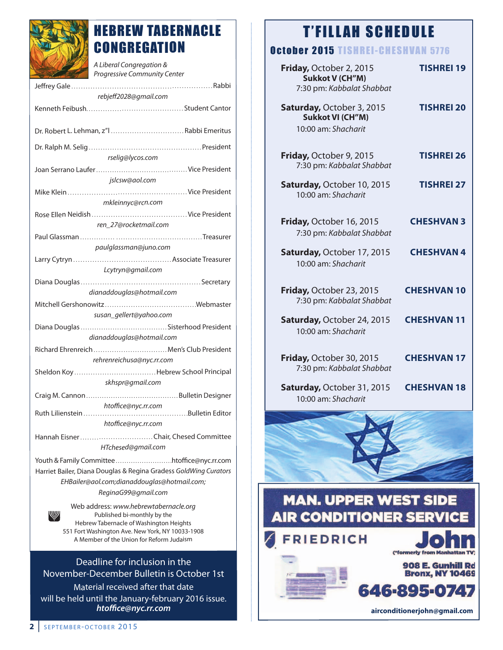

### HEBREW TABERNACLE **CONGREGATION**

| A Liberal Congregation &<br>Progressive Community Center                                                        |  |
|-----------------------------------------------------------------------------------------------------------------|--|
|                                                                                                                 |  |
| rebjeff2028@gmail.com                                                                                           |  |
|                                                                                                                 |  |
| Dr. Robert L. Lehman, z"l  Rabbi Emeritus                                                                       |  |
|                                                                                                                 |  |
| rselig@lycos.com                                                                                                |  |
| jslcsw@aol.com                                                                                                  |  |
|                                                                                                                 |  |
| mkleinnyc@rcn.com                                                                                               |  |
|                                                                                                                 |  |
| ren 27@rocketmail.com                                                                                           |  |
|                                                                                                                 |  |
| paulglassman@juno.com                                                                                           |  |
| Lcytryn@gmail.com                                                                                               |  |
|                                                                                                                 |  |
| dianaddouglas@hotmail.com                                                                                       |  |
|                                                                                                                 |  |
| susan_gellert@yahoo.com                                                                                         |  |
| dianaddouglas@hotmail.com                                                                                       |  |
| Richard Ehrenreich  Men's Club President                                                                        |  |
| rehrenreichusa@nyc.rr.com                                                                                       |  |
|                                                                                                                 |  |
| skhspr@gmail.com                                                                                                |  |
|                                                                                                                 |  |
| htoffice@nyc.rr.com<br>Bulletin Editor<br>Ruth Lilienstein                                                      |  |
| htoffice@nyc.rr.com                                                                                             |  |
|                                                                                                                 |  |
| HTchesed@gmail.com                                                                                              |  |
|                                                                                                                 |  |
| Harriet Bailer, Diana Douglas & Regina Gradess GoldWing Curators                                                |  |
| EHBailer@aol.com;dianaddouglas@hotmail.com;<br>ReginaG99@gmail.com                                              |  |
|                                                                                                                 |  |
| Web address: www.hebrewtabernacle.org<br>Published bi-monthly by the<br>Hebrew Tabernacle of Washington Heights |  |

hebrew Tabernacle of Washington heights 551 Fort Washington Ave. New York, NY 10033-1908 A Member of the Union for Reform Judaism

#### Deadline for inclusion in the november-December Bulletin is October 1st

material received after that date will be held until the January-february 2016 issue. *htoffice@nyc.rr.com*

## T'FILLAH SCHEDULE

### October 2015 TISHREI-CHESHVAN 5776

| ------<br>w<br>.                                                            |                    |
|-----------------------------------------------------------------------------|--------------------|
| Friday, October 2, 2015<br>Sukkot V (CH"M)<br>7:30 pm: Kabbalat Shabbat     | <b>TISHREI 19</b>  |
| Saturday, October 3, 2015<br><b>Sukkot VI (CH"M)</b><br>10:00 am: Shacharit | <b>TISHREI 20</b>  |
| Friday, October 9, 2015<br>7:30 pm: Kabbalat Shabbat                        | <b>TISHREI 26</b>  |
| Saturday, October 10, 2015<br>10:00 am: Shacharit                           | <b>TISHREI 27</b>  |
| Friday, October 16, 2015<br>7:30 pm: Kabbalat Shabbat                       | <b>CHESHVAN 3</b>  |
| Saturday, October 17, 2015<br>10:00 am: Shacharit                           | <b>CHESHVAN4</b>   |
| Friday, October 23, 2015<br>7:30 pm: Kabbalat Shabbat                       | <b>CHESHVAN 10</b> |
| Saturday, October 24, 2015<br>10:00 am: Shacharit                           | <b>CHESHVAN 11</b> |
| Friday, October 30, 2015<br>7:30 pm: Kabbalat Shabbat                       | <b>CHESHVAN 17</b> |
| Saturday, October 31, 2015<br>10:00 am: Shacharit                           | <b>CHESHVAN 18</b> |



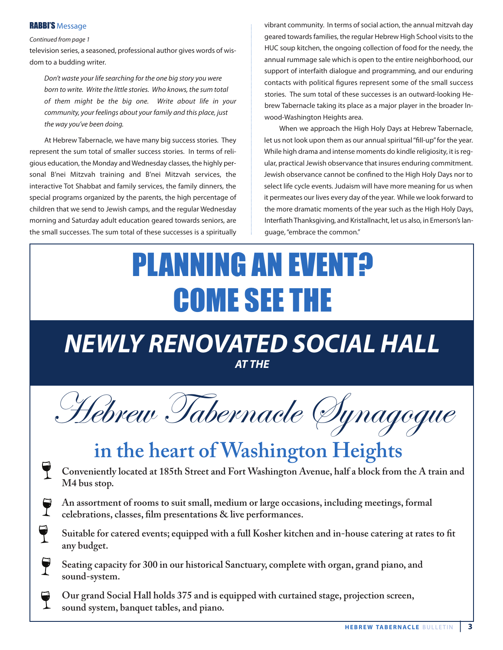#### **RABBI'S Message**

Continued from page 1

television series, a seasoned, professional author gives words of wisdom to a budding writer.

Don't waste your life searching for the one big story you were born to write. Write the little stories. Who knows, the sum total of them might be the big one. Write about life in your community, your feelings about your family and this place, just the way you've been doing.

At hebrew Tabernacle, we have many big success stories. They represent the sum total of smaller success stories. in terms of religious education, the Monday and Wednesday classes, the highly personal B'nei mitzvah training and B'nei mitzvah services, the interactive Tot Shabbat and family services, the family dinners, the special programs organized by the parents, the high percentage of children that we send to Jewish camps, and the regular Wednesday morning and Saturday adult education geared towards seniors, are the small successes. The sum total of these successes is a spiritually

vibrant community. in terms of social action, the annual mitzvah day geared towards families, the regular Hebrew High School visits to the HUC soup kitchen, the ongoing collection of food for the needy, the annual rummage sale which is open to the entire neighborhood, our support of interfaith dialogue and programming, and our enduring contacts with political figures represent some of the small success stories. The sum total of these successes is an outward-looking hebrew Tabernacle taking its place as a major player in the broader inwood-Washington heights area.

When we approach the High Holy Days at Hebrew Tabernacle, let us not look upon them as our annual spiritual "fill-up" for the year. While high drama and intense moments do kindle religiosity, it is regular, practical Jewish observance that insures enduring commitment. Jewish observance cannot be confined to the high holy Days nor to select life cycle events. Judaism will have more meaning for us when it permeates our lives every day of the year. While we look forward to the more dramatic moments of the year such as the High Holy Days, interfiath Thanksgiving, and Kristallnacht, let us also, in Emerson's language, "embrace the common."

# PLANNING AN EVENT? COME SEE THE

## *NEWLY RENOVATED SOCIAL HALL AT THE*

Hebrew Tabernacle Synagogue

## **in the heart of Washington Heights**

- **Conveniently located at 185th Street and Fort Washington Avenue, half a block from the A train and M4 bus stop.**
- T **An assortment of rooms to suit small, medium or large occasions, including meetings, formal celebrations, classes, film presentations & live performances.**
- $\mathbf{\Theta}$ **Suitable for catered events; equipped with a full Kosher kitchen and in-house catering at rates to fit any budget.**
- **Seating capacity for 300 in our historical Sanctuary, complete with organ, grand piano, and sound-system.**
- **Our grand Social Hall holds 375 and is equipped with curtained stage, projection screen, sound system, banquet tables, and piano.**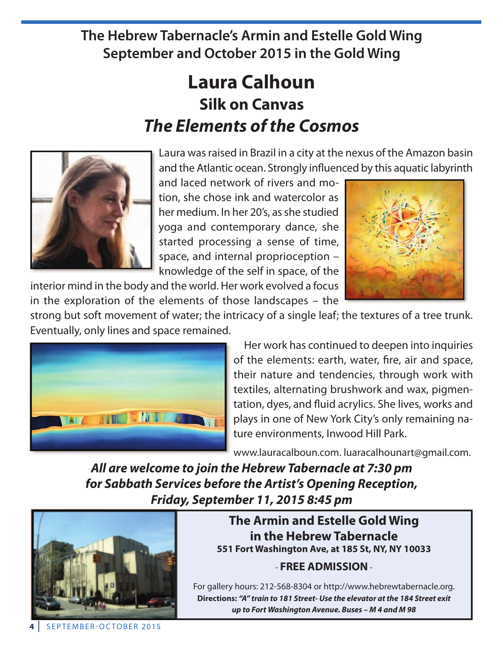**The Hebrew Tabernacle's Armin and Estelle Gold Wing September and October 2015 in the Gold Wing**

## **laura Calhoun Silk on Canvas** *The Elements of the Cosmos*



Laura was raised in Brazil in a city at the nexus of the Amazon basin and the Atlantic ocean. Strongly influenced by this aquatic labyrinth

and laced network of rivers and motion, she chose ink and watercolor as her medium. in her 20's, as she studied yoga and contemporary dance, she started processing a sense of time, space, and internal proprioception – knowledge of the self in space, of the

interior mind in the body and the world. her work evolved a focus in the exploration of the elements of those landscapes – the



strong but soft movement of water; the intricacy of a single leaf; the textures of a tree trunk. Eventually, only lines and space remained.



her work has continued to deepen into inquiries of the elements: earth, water, fire, air and space, their nature and tendencies, through work with textiles, alternating brushwork and wax, pigmentation, dyes, and fluid acrylics. She lives, works and plays in one of new York City's only remaining nature environments, inwood hill park.

www.lauracalboun.com. luaracalhounart@gmail.com.

*All are welcome to join the Hebrew Tabernacle at 7:30 pm for Sabbath Services before the Artist's Opening Reception, Friday, September 11, 2015 8:45 pm*



**The armin and Estelle Gold Wing in the Hebrew Tabernacle 551 Fort Washington ave, at 185 St, nY, nY 10033**

### - **FREE aDMiSSiOn**-

For gallery hours: 212-568-8304 or http://www.hebrewtabernacle.org. **Directions:** *"A" train to 181 Street- Use the elevator at the 184 Street exit up to Fort Washington Avenue. Buses – M 4 and M 98*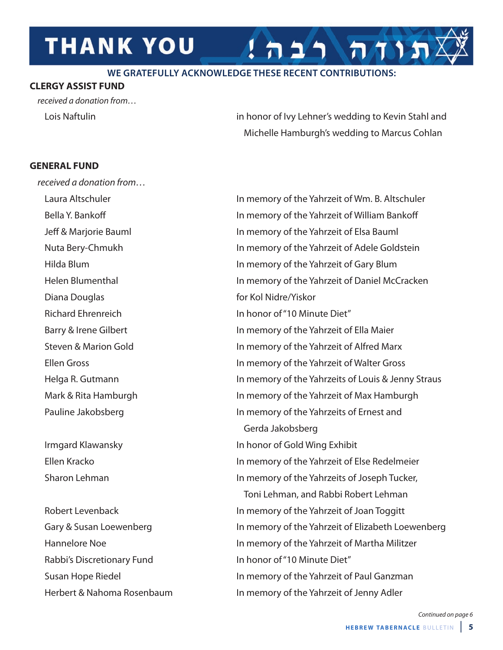## **THANK YOU**

#### **WE GRATEFULLY ACKNOWLEDGE THESE RECENT CONTRIBUTIONS:**

### **ClERGY aSSiST FunD**

received a donation from…

Lois Naftulin **in honor of Ivy Lehner's wedding to Kevin Stahl and** Michelle Hamburgh's wedding to Marcus Cohlan

 $7117$ 

### **GEnERal FunD**

received a donation from… Diana Douglas **for Kol Nidre/Yiskor** 

Rabbi's Discretionary Fund in honor of "10 Minute Diet" Herbert & Nahoma Rosenbaum in memory of the Yahrzeit of Jenny Adler

Laura Altschuler in memory of the Yahrzeit of Wm. B. Altschuler Bella Y. Bankoff in memory of the Yahrzeit of William Bankoff Jeff & marjorie Bauml in memory of the Yahrzeit of Elsa Bauml Nuta Bery-Chmukh in memory of the Yahrzeit of Adele Goldstein hilda Blum in memory of the Yahrzeit of Gary Blum helen Blumenthal in memory of the Yahrzeit of Daniel mcCracken richard Ehrenreich in honor of "10 minute Diet" Barry & Irene Gilbert **in the Vahrage in memory of the Yahrzeit of Ella Maier** Steven & Marion Gold in memory of the Yahrzeit of Alfred Marx Ellen Gross in memory of the Yahrzeit of Walter Gross Helga R. Gutmann in memory of the Yahrzeits of Louis & Jenny Straus Mark & Rita Hamburgh in memory of the Yahrzeit of Max Hamburgh pauline Jakobsberg in memory of the Yahrzeits of Ernest and Gerda Jakobsberg Irmgard Klawansky in honor of Gold Wing Exhibit Ellen Kracko in memory of the Yahrzeit of Else redelmeier Sharon Lehman in memory of the Yahrzeits of Joseph Tucker, Toni Lehman, and Rabbi Robert Lehman Robert Levenback in memory of the Yahrzeit of Joan Toggitt Gary & Susan Loewenberg in memory of the Yahrzeit of Elizabeth Loewenberg hannelore noe in memory of the Yahrzeit of martha militzer Susan Hope Riedel **in the Value of the Yahrzeit of Paul Ganzman**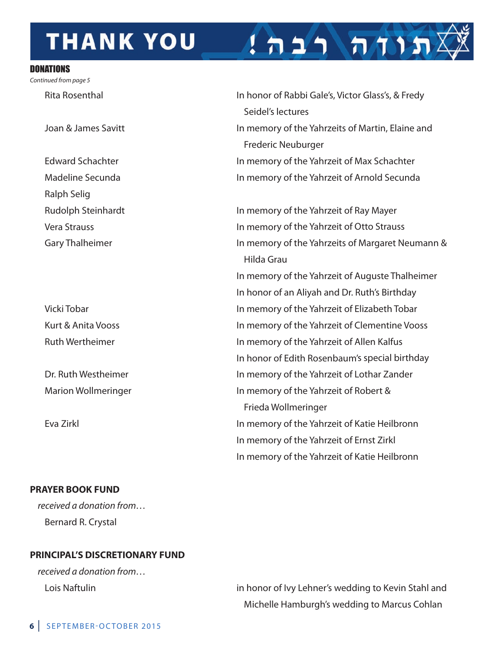## **THANK YOU**

#### DONATIONS

Continued from page 5

**Ralph Selig** 

#### **PRaYER bOOK FunD**

received a donation from… Bernard R. Crystal

### **PRinCiPal'S DiSCRETiOnaRY FunD**

received a donation from…

Rita Rosenthal in honor of Rabbi Gale's, Victor Glass's, & Fredy Seidel's lectures Joan & James Savitt **in the United States in memory of the Yahrzeits of Martin, Elaine and** Frederic Neuburger Edward Schachter in memory of the Yahrzeit of Max Schachter madeline Secunda in memory of the Yahrzeit of Arnold Secunda

תוח רבה!

Rudolph Steinhardt in memory of the Yahrzeit of Ray Mayer vera Strauss in memory of the Yahrzeit of Otto Strauss Gary Thalheimer in memory of the Yahrzeits of Margaret Neumann & hilda Grau in memory of the Yahrzeit of Auguste Thalheimer In honor of an Aliyah and Dr. Ruth's Birthday vicki Tobar in memory of the Yahrzeit of Elizabeth Tobar Kurt & Anita Vooss **in the Value of the Yahrzeit of Clementine Vooss** Ruth Wertheimer **in the Vallen Communist Communist Communist Communist Communist Communist Communist Communist Communist Communist Communist Communist Communist Communist Communist Communist Communist Communist Communist C** In honor of Edith Rosenbaum's special birthday Dr. Ruth Westheimer in memory of the Yahrzeit of Lothar Zander Marion Wollmeringer in memory of the Yahrzeit of Robert & Frieda Wollmeringer Eva Zirkl in memory of the Yahrzeit of Katie heilbronn in memory of the Yahrzeit of Ernst Zirkl in memory of the Yahrzeit of Katie heilbronn

Lois Naftulin in honor of Ivy Lehner's wedding to Kevin Stahl and Michelle Hamburgh's wedding to Marcus Cohlan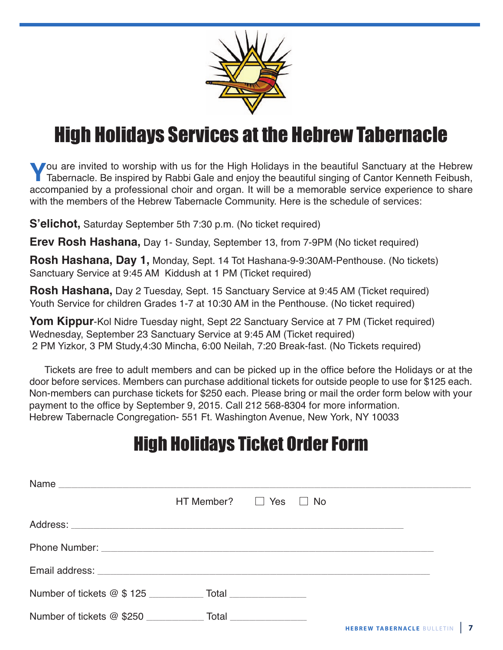

## High Holidays Services at the Hebrew Tabernacle

**Y**ou are invited to worship with us for the High Holidays in the beautiful Sanctuary at the Hebrew Tabernacle. Be inspired by Rabbi Gale and enjoy the beautiful singing of Cantor Kenneth Feibush, accompanied by a professi accompanied by a professional choir and organ. It will be a memorable service experience to share with the members of the Hebrew Tabernacle Community. Here is the schedule of services:

**S'elichot,** Saturday September 5th 7:30 p.m. (No ticket required)

**Erev Rosh Hashana,** Day 1- Sunday, September 13, from 7-9PM (No ticket required)

**Rosh Hashana, Day 1,** Monday, Sept. 14 Tot Hashana-9-9:30AM-Penthouse. (No tickets) Sanctuary Service at 9:45 AM Kiddush at 1 PM (Ticket required)

**Rosh Hashana,** Day 2 Tuesday, Sept. 15 Sanctuary Service at 9:45 AM (Ticket required) Youth Service for children Grades 1-7 at 10:30 AM in the Penthouse. (No ticket required)

Yom Kippur-Kol Nidre Tuesday night, Sept 22 Sanctuary Service at 7 PM (Ticket required) Wednesday, September 23 Sanctuary Service at 9:45 AM (Ticket required) 2 PM Yizkor, 3 PM Study,4:30 Mincha, 6:00 Neilah, 7:20 Break-fast. (No Tickets required)

Tickets are free to adult members and can be picked up in the office before the Holidays or at the door before services. Members can purchase additional tickets for outside people to use for \$125 each. Non-members can purchase tickets for \$250 each. Please bring or mail the order form below with your payment to the office by September 9, 2015. Call 212 568-8304 for more information. Hebrew Tabernacle Congregation- 551 Ft. Washington Avenue, New York, NY 10033

## High Holidays Ticket Order Form

| Name |                                   |  |  |
|------|-----------------------------------|--|--|
|      | $HT$ Member? $\Box$ Yes $\Box$ No |  |  |
|      |                                   |  |  |
|      |                                   |  |  |
|      |                                   |  |  |
|      |                                   |  |  |
|      |                                   |  |  |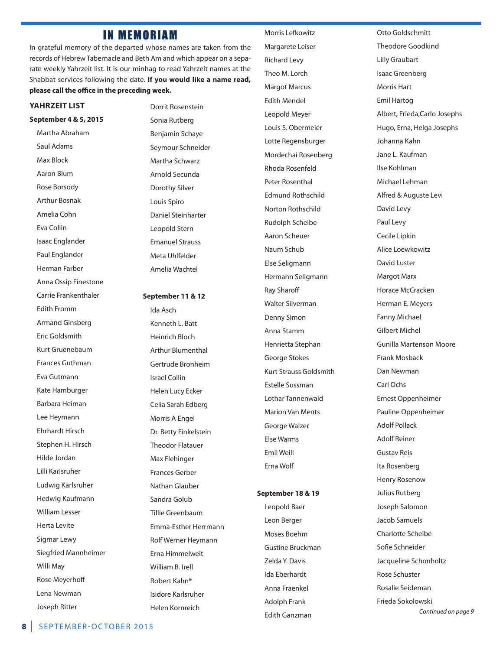### IN MEMORIAM

in grateful memory of the departed whose names are taken from the records of hebrew Tabernacle and Beth Am and which appear on a separate weekly Yahrzeit list. it is our minhag to read Yahrzeit names at the Shabbat services following the date. **if you would like a name read, please call the office in the preceding week.**

#### **YaHRzEiT liST**

**September 4 & 5, 2015** martha Abraham Saul Adams max Block Aaron Blum Rose Borsody Arthur Bosnak Amelia Cohn Eva Collin isaac Englander paul Englander herman Farber Anna Ossip Finestone Carrie Frankenthaler Edith Fromm Armand Ginsberg Eric Goldsmith Kurt Gruenebaum Frances Guthman Eva Gutmann Kate Hamburger Barbara Heiman Lee heymann Ehrhardt hirsch Stephen H. Hirsch hilde Jordan Lilli Karlsruher Ludwig Karlsruher hedwig Kaufmann William Lesser herta Levite Sigmar Lewy Siegfried mannheimer Willi May Rose Meyerhoff Lena Newman **Joseph Ritter** 

Dorrit Rosenstein Sonia Rutberg Benjamin Schaye Seymour Schneider Martha Schwarz Arnold Secunda Dorothy Silver Louis Spiro Daniel Steinharter Leopold Stern Emanuel Strauss Meta Uhlfelder Amelia Wachtel

**September 11 & 12**

ida Asch Kenneth L. Batt heinrich Bloch Arthur Blumenthal Gertrude Bronheim israel Collin helen Lucy Ecker Celia Sarah Edberg Morris A Engel Dr. Betty Finkelstein Theodor Flatauer Max Flehinger Frances Gerber nathan Glauber Sandra Golub Tillie Greenbaum Emma-Esther herrmann Rolf Werner Heymann Erna Himmelweit William B. irell Robert Kahn\* isidore Karlsruher helen Kornreich

Morris Lefkowitz Margarete Leiser **Richard Levy** Theo M. Lorch **Margot Marcus** Edith mendel Leopold meyer Louis S. Obermeier Lotte Regensburger Mordechai Rosenberg Rhoda Rosenfeld Peter Rosenthal Edmund Rothschild Norton Rothschild **Rudolph Scheibe** Aaron Scheuer Naum Schub Else Seligmann hermann Seligmann **Ray Sharoff** Walter Silverman Denny Simon Anna Stamm henrietta Stephan George Stokes Kurt Strauss Goldsmith Estelle Sussman Lothar Tannenwald **Marion Van Ments** George Walzer Else Warms Emil Weill Erna Wolf

#### **September 18 & 19**

Leopold Baer Leon Berger moses Boehm Gustine Bruckman Zelda Y. Davis ida Eberhardt Anna Fraenkel Adolph Frank Edith Ganzman

Otto Goldschmitt Theodore Goodkind Lilly Graubart isaac Greenberg **Morris Hart** Emil hartog Albert, Frieda,Carlo Josephs hugo, Erna, helga Josephs Johanna Kahn Jane L. Kaufman ilse Kohlman michael Lehman Alfred & Auguste Levi David Levy paul Levy Cecile Lipkin Alice Loewkowitz David Luster **Margot Marx** Horace McCracken herman E. meyers **Fanny Michael** Gilbert michel Gunilla martenson moore Frank mosback Dan Newman Carl Ochs Ernest Oppenheimer pauline Oppenheimer Adolf pollack Adolf Reiner Gustav Reis Ita Rosenberg **Henry Rosenow** Julius Rutberg Joseph Salomon Jacob Samuels Charlotte Scheibe Sofie Schneider Jacqueline Schonholtz Rose Schuster rosalie Seideman Frieda Sokolowski

Continued on page 9

**8** | SEpTEmBEr-OCTOBEr 2015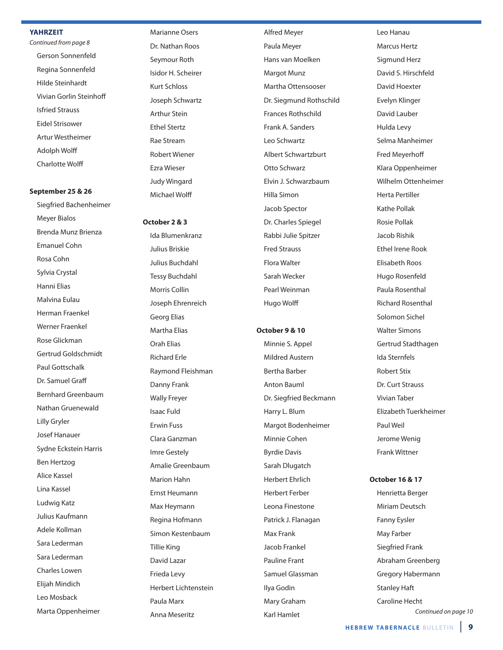#### **YaHRzEiT**

Continued from page 8 Gerson Sonnenfeld Regina Sonnenfeld hilde Steinhardt vivian Gorlin Steinhoff isfried Strauss Eidel Strisower Artur Westheimer Adolph Wolff Charlotte Wolff

#### **September 25 & 26**

Siegfried Bachenheimer meyer Bialos Brenda munz Brienza Emanuel Cohn Rosa Cohn Sylvia Crystal hanni Elias malvina Eulau herman Fraenkel Werner Fraenkel Rose Glickman Gertrud Goldschmidt paul Gottschalk Dr. Samuel Graff Bernhard Greenbaum Nathan Gruenewald Lilly Gryler Josef hanauer Sydne Eckstein harris Ben hertzog Alice Kassel Lina Kassel Ludwig Katz Julius Kaufmann Adele Kollman Sara Lederman Sara Lederman Charles Lowen Elijah mindich Leo mosback Marta Oppenheimer

Marianne Osers Dr. Nathan Roos Seymour Roth Isidor H. Scheirer Kurt Schloss Joseph Schwartz Arthur Stein Ethel Stertz Rae Stream **Robert Wiener** Ezra Wieser Judy Wingard michael Wolff

#### **October 2 & 3**

ida Blumenkranz Julius Briskie Julius Buchdahl Tessy Buchdahl Morris Collin Joseph Ehrenreich Georg Elias Martha Elias Orah Elias **Richard Erle** Raymond Fleishman Danny Frank Wally Freyer isaac Fuld Erwin Fuss Clara Ganzman imre Gestely Amalie Greenbaum Marion Hahn Ernst heumann Max Heymann Regina Hofmann Simon Kestenbaum Tillie King David Lazar Frieda Levy herbert Lichtenstein paula marx Anna Meseritz

Alfred meyer paula meyer hans van moelken Margot Munz Martha Ottensooser Dr. Siegmund Rothschild Frances Rothschild Frank A. Sanders Leo Schwartz Albert Schwartzburt Otto Schwarz Elvin J. Schwarzbaum hilla Simon Jacob Spector Dr. Charles Spiegel Rabbi Julie Spitzer Fred Strauss Flora Walter Sarah Wecker pearl Weinman hugo Wolff

#### **October 9 & 10**

Minnie S. Appel mildred Austern Bertha Barber Anton Bauml Dr. Siegfried Beckmann harry L. Blum margot Bodenheimer Minnie Cohen Byrdie Davis Sarah Dlugatch herbert Ehrlich herbert Ferber Leona Finestone patrick J. Flanagan Max Frank Jacob Frankel pauline Frant Samuel Glassman ilya Godin Mary Graham **Karl Hamlet** 

Leo Hanau Marcus Hertz Sigmund herz David S. Hirschfeld David hoexter Evelyn Klinger David Lauber hulda Levy Selma Manheimer Fred meyerhoff Klara Oppenheimer Wilhelm Ottenheimer herta pertiller Kathe pollak rosie pollak Jacob Rishik Ethel Irene Rook Elisabeth Roos Hugo Rosenfeld Paula Rosenthal **Richard Rosenthal** Solomon Sichel Walter Simons Gertrud Stadthagen ida Sternfels **Robert Stix** Dr. Curt Strauss vivian Taber Elizabeth Tuerkheimer paul Weil Jerome Wenig Frank Wittner

#### **October 16 & 17**

henrietta Berger Miriam Deutsch Fanny Eysler May Farber Siegfried Frank Abraham Greenberg Gregory Habermann Stanley haft Caroline Hecht Continued on page 10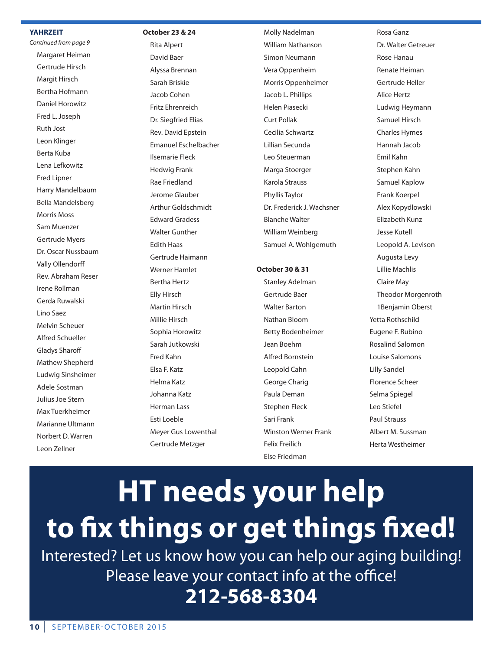#### **YaHRzEiT**

Continued from page 9 Margaret Heiman Gertrude hirsch Margit Hirsch Bertha Hofmann Daniel horowitz Fred L. Joseph **Ruth Jost** Leon Klinger Berta Kuba Lena Lefkowitz Fred Lipner harry mandelbaum Bella mandelsberg Morris Moss Sam Muenzer Gertrude Myers Dr. Oscar Nussbaum vally Ollendorff Rev. Abraham Reser Irene Rollman Gerda Ruwalski Lino Saez melvin Scheuer Alfred Schueller Gladys Sharoff Mathew Shepherd Ludwig Sinsheimer Adele Sostman Julius Joe Stern Max Tuerkheimer Marianne Ultmann norbert D. Warren Leon Zellner

#### **October 23 & 24**

**Rita Alpert** David Baer Alyssa Brennan Sarah Briskie Jacob Cohen Fritz Ehrenreich Dr. Siegfried Elias Rev. David Epstein Emanuel Eschelbacher ilsemarie Fleck hedwig Frank **Rae Friedland** Jerome Glauber Arthur Goldschmidt Edward Gradess Walter Gunther **Edith Haas** Gertrude haimann Werner Hamlet **Bertha Hertz** Elly hirsch Martin Hirsch Millie Hirsch Sophia Horowitz Sarah Jutkowski Fred Kahn Elsa F. Katz helma Katz Johanna Katz herman Lass Esti Loeble meyer Gus Lowenthal Gertrude metzger

Molly Nadelman William Nathanson Simon Neumann vera Oppenheim Morris Oppenheimer Jacob L. phillips helen piasecki Curt pollak Cecilia Schwartz Lillian Secunda Leo Steuerman Marga Stoerger Karola Strauss phyllis Taylor Dr. Frederick J. Wachsner Blanche Walter William Weinberg Samuel A. Wohlgemuth

#### **October 30 & 31**

Stanley Adelman Gertrude Baer Walter Barton nathan Bloom Betty Bodenheimer Jean Boehm Alfred Bornstein Leopold Cahn George Charig paula Deman Stephen Fleck Sari Frank Winston Werner Frank Felix Freilich Else Friedman

Rosa Ganz Dr. Walter Getreuer **Rose Hanau** Renate Heiman Gertrude heller Alice hertz Ludwig heymann Samuel hirsch **Charles Hymes** hannah Jacob Emil Kahn Stephen Kahn Samuel Kaplow Frank Koerpel Alex Kopydlowski Elizabeth Kunz Jesse Kutell Leopold A. Levison Augusta Levy Lillie machlis Claire May Theodor Morgenroth 1Benjamin Oberst Yetta Rothschild Eugene F. Rubino rosalind Salomon Louise Salomons Lilly Sandel Florence Scheer Selma Spiegel Leo Stiefel paul Strauss Albert M. Sussman herta Westheimer

# **HT needs your help to fix things or get things fixed!**

interested? Let us know how you can help our aging building! please leave your contact info at the office! **212-568-8304**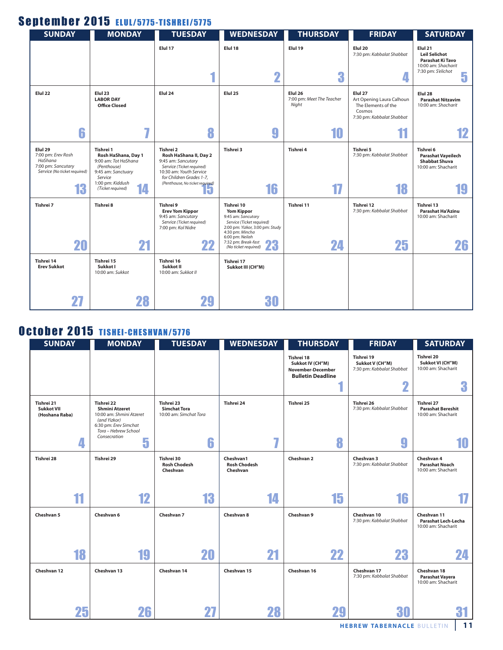### September 2015 ELUL/5775-TISHREI/5775

| <b>SUNDAY</b>                                                                                  | <b>MONDAY</b>                                                                                                                | <b>TUESDAY</b>                                                                                                                                                                   | <b>WEDNESDAY</b>                                                                                                                                            | <b>THURSDAY</b>                               | <b>FRIDAY</b>                                                                                      | <b>SATURDAY</b>                                                                                       |
|------------------------------------------------------------------------------------------------|------------------------------------------------------------------------------------------------------------------------------|----------------------------------------------------------------------------------------------------------------------------------------------------------------------------------|-------------------------------------------------------------------------------------------------------------------------------------------------------------|-----------------------------------------------|----------------------------------------------------------------------------------------------------|-------------------------------------------------------------------------------------------------------|
|                                                                                                |                                                                                                                              | Elul 17                                                                                                                                                                          | Elul 18<br>$\overline{\mathbf{2}}$                                                                                                                          | Elul 19<br>3                                  | Elul 20<br>7:30 pm: Kabbalat Shabbat                                                               | Elul 21<br><b>Leil Selichot</b><br>Parashat Ki Tavo<br>10:00 am: Shacharit<br>7:30 pm: S'elichot<br>5 |
| Elul 22                                                                                        | Elul <sub>23</sub><br><b>LABOR DAY</b><br><b>Office Closed</b>                                                               | Elul 24                                                                                                                                                                          | Elul 25                                                                                                                                                     | Elul 26<br>7:00 pm: Meet The Teacher<br>Night | Elul 27<br>Art Opening Laura Calhoun<br>The Elements of the<br>Cosmos<br>7:30 pm: Kabbalat Shabbat | Elul <sub>28</sub><br><b>Parashat Nitzavim</b><br>10:00 am: Shacharit                                 |
| 6                                                                                              | m.                                                                                                                           | 8                                                                                                                                                                                | 9                                                                                                                                                           | 10                                            |                                                                                                    | 12                                                                                                    |
| Elul 29<br>7:00 pm: Erev Rosh<br>HaShana<br>7:00 pm: Sancutary<br>Service (No ticket required) | Tishrei 1<br>Rosh HaShana, Day 1<br>9:00 am: Tot HaShana<br>(Penthouse)<br>9:45 am: Sanctuary<br>Service<br>1:00 pm: Kiddush | Tishrei 2<br>Rosh HaShana II, Day 2<br>9:45 am: Sancutary<br>Service (Ticket required)<br>10:30 am: Youth Service<br>for Children Grades 1-7,<br>(Penthouse, No ticket required) | Tishrei 3                                                                                                                                                   | Tishrei 4                                     | Tishrei 5<br>7:30 pm: Kabbalat Shabbat                                                             | Tishrei 6<br><b>Parashat Vayeilech</b><br><b>Shabbat Shuva</b><br>10:00 am: Shacharit                 |
| 13                                                                                             | 14<br>(Ticket required)                                                                                                      | ю.                                                                                                                                                                               | 16                                                                                                                                                          | 17                                            | 18                                                                                                 |                                                                                                       |
| Tishrei 7                                                                                      | Tishrei 8                                                                                                                    | Tishrei 9<br><b>Erev Yom Kippor</b><br>9:45 am: Sancutary<br>Service (Ticket required)<br>7:00 pm: Kol Nidre                                                                     | Tishrei 10<br><b>Yom Kippor</b><br>9:45 am: Sancutary<br>Service (Ticket required)<br>2:00 pm: Yizkor, 3:00 pm: Study<br>4:30 pm: Mincha<br>6:00 pm: Neilah | Tishrei 11                                    | Tishrei 12<br>7:30 pm: Kabbalat Shabbat                                                            | Tishrei 13<br><b>Parashat Ha'Azinu</b><br>10:00 am: Shacharit                                         |
| 20                                                                                             | 21                                                                                                                           | 22                                                                                                                                                                               | 7:32 pm: Break-fast<br>œ<br><b>ZJ</b><br>(No ticket required)                                                                                               | 24                                            | 25                                                                                                 | 26                                                                                                    |
| Tishrei 14<br><b>Erev Sukkot</b>                                                               | Tishrei 15<br>Sukkot I<br>10:00 am: Sukkot                                                                                   | Tishrei 16<br>Sukkot II<br>10:00 am: Sukkot II                                                                                                                                   | Tishrei 17<br>Sukkot III (CH"M)                                                                                                                             |                                               |                                                                                                    |                                                                                                       |
|                                                                                                | 28                                                                                                                           | 29                                                                                                                                                                               | 30                                                                                                                                                          |                                               |                                                                                                    |                                                                                                       |

### October 2015 TISHEI-CHESHVAN/5776

| <b>SUNDAY</b>                                     | <b>MONDAY</b>                                                                                                                    | <b>TUESDAY</b>                                              | <b>WEDNESDAY</b>                             | <b>THURSDAY</b>                                                                        | <b>FRIDAY</b>                                              | <b>SATURDAY</b>                                                  |
|---------------------------------------------------|----------------------------------------------------------------------------------------------------------------------------------|-------------------------------------------------------------|----------------------------------------------|----------------------------------------------------------------------------------------|------------------------------------------------------------|------------------------------------------------------------------|
|                                                   |                                                                                                                                  |                                                             |                                              | Tishrei 18<br>Sukkot IV (CH"M)<br><b>November-December</b><br><b>Bulletin Deadline</b> | Tishrei 19<br>Sukkot V (CH"M)<br>7:30 pm: Kabbalat Shabbat | Tishrei 20<br>Sukkot VI (CH"M)<br>10:00 am: Shacharit            |
|                                                   |                                                                                                                                  |                                                             |                                              |                                                                                        | Ω                                                          | a                                                                |
| Tishrei 21<br><b>Sukkot VII</b><br>(Hoshana Raba) | Tishrei 22<br><b>Shmini Atzeret</b><br>10:00 am: Shmini Atzeret<br>(and Yizkor)<br>6:30 pm: Erev Simchat<br>Tora - Hebrew School | Tishrei 23<br><b>Simchat Tora</b><br>10:00 am: Simchat Tora | Tishrei 24                                   | Tishrei 25                                                                             | Tishrei 26<br>7:30 pm: Kabbalat Shabbat                    | Tishrei 27<br><b>Parashat Bereshit</b><br>10:00 am: Shacharit    |
| 4                                                 | Consecration<br>5                                                                                                                | 6                                                           | $\overline{I}$                               | 8                                                                                      | 9                                                          | 10                                                               |
| Tishrei 28                                        | Tishrei 29                                                                                                                       | Tishrei 30<br><b>Rosh Chodesh</b><br>Cheshvan               | Cheshvan1<br><b>Rosh Chodesh</b><br>Cheshvan | Cheshvan 2                                                                             | Cheshvan 3<br>7:30 pm: Kabbalat Shabbat                    | Cheshvan 4<br><b>Parashat Noach</b><br>10:00 am: Shacharit       |
| 11                                                | 12                                                                                                                               | 13                                                          | 14                                           | 15                                                                                     | 16                                                         |                                                                  |
| Cheshvan 5                                        | Cheshvan 6                                                                                                                       | Cheshvan 7                                                  | Cheshvan 8                                   | Cheshvan 9                                                                             | Cheshvan 10<br>7:30 pm: Kabbalat Shabbat                   | Cheshvan 11<br><b>Parashat Lech-Lecha</b><br>10:00 am: Shacharit |
| 18                                                | 19                                                                                                                               | 20                                                          | 21                                           | 22                                                                                     | 23                                                         | 24                                                               |
| Cheshvan 12                                       | Cheshvan 13                                                                                                                      | Cheshvan 14                                                 | Cheshvan 15                                  | Cheshvan 16                                                                            | Cheshvan 17<br>7:30 pm: Kabbalat Shabbat                   | Cheshvan 18<br><b>Parashat Vayera</b><br>10:00 am: Shacharit     |
| 25                                                | 26                                                                                                                               |                                                             | 28                                           | 29                                                                                     | 30                                                         |                                                                  |